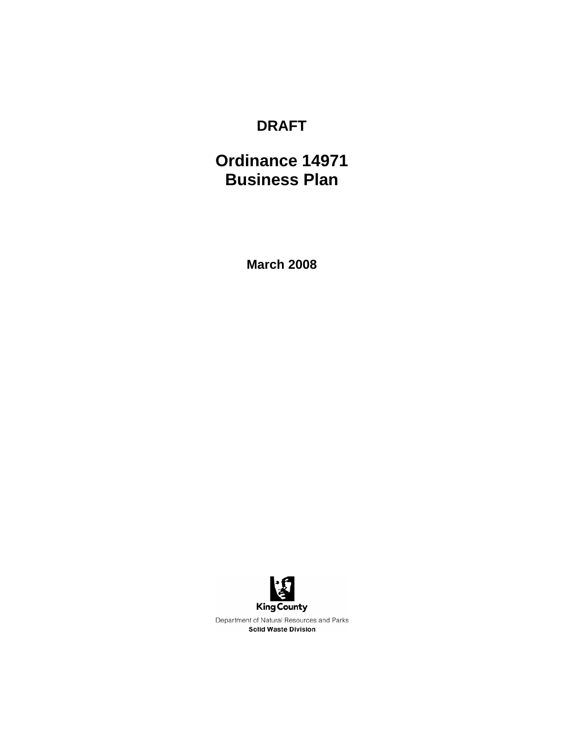## **DRAFT**

# **Ordinance 14971 Business Plan**

**March 2008** 

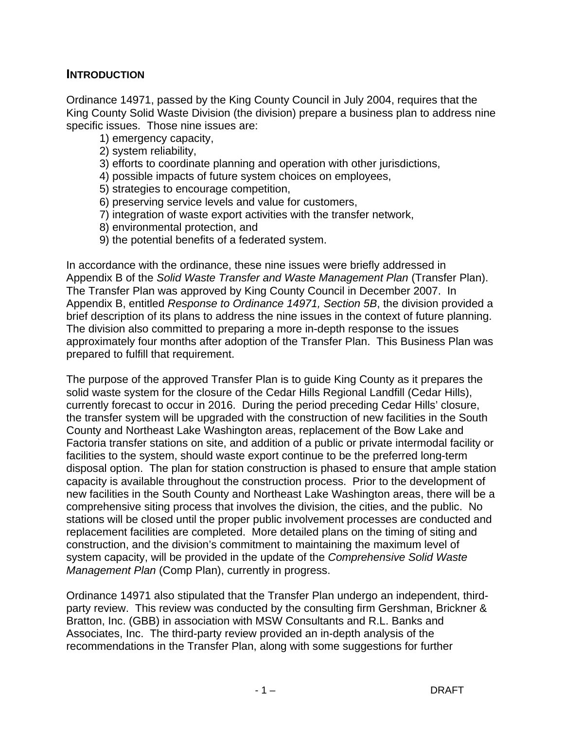#### **INTRODUCTION**

Ordinance 14971, passed by the King County Council in July 2004, requires that the King County Solid Waste Division (the division) prepare a business plan to address nine specific issues. Those nine issues are:

- 1) emergency capacity,
- 2) system reliability,
- 3) efforts to coordinate planning and operation with other jurisdictions,
- 4) possible impacts of future system choices on employees,
- 5) strategies to encourage competition,
- 6) preserving service levels and value for customers,
- 7) integration of waste export activities with the transfer network,
- 8) environmental protection, and
- 9) the potential benefits of a federated system.

In accordance with the ordinance, these nine issues were briefly addressed in Appendix B of the *Solid Waste Transfer and Waste Management Plan* (Transfer Plan). The Transfer Plan was approved by King County Council in December 2007. In Appendix B, entitled *Response to Ordinance 14971, Section 5B*, the division provided a brief description of its plans to address the nine issues in the context of future planning. The division also committed to preparing a more in-depth response to the issues approximately four months after adoption of the Transfer Plan. This Business Plan was prepared to fulfill that requirement.

The purpose of the approved Transfer Plan is to guide King County as it prepares the solid waste system for the closure of the Cedar Hills Regional Landfill (Cedar Hills), currently forecast to occur in 2016. During the period preceding Cedar Hills' closure, the transfer system will be upgraded with the construction of new facilities in the South County and Northeast Lake Washington areas, replacement of the Bow Lake and Factoria transfer stations on site, and addition of a public or private intermodal facility or facilities to the system, should waste export continue to be the preferred long-term disposal option. The plan for station construction is phased to ensure that ample station capacity is available throughout the construction process. Prior to the development of new facilities in the South County and Northeast Lake Washington areas, there will be a comprehensive siting process that involves the division, the cities, and the public. No stations will be closed until the proper public involvement processes are conducted and replacement facilities are completed. More detailed plans on the timing of siting and construction, and the division's commitment to maintaining the maximum level of system capacity, will be provided in the update of the *Comprehensive Solid Waste Management Plan* (Comp Plan), currently in progress.

Ordinance 14971 also stipulated that the Transfer Plan undergo an independent, thirdparty review. This review was conducted by the consulting firm Gershman, Brickner & Bratton, Inc. (GBB) in association with MSW Consultants and R.L. Banks and Associates, Inc. The third-party review provided an in-depth analysis of the recommendations in the Transfer Plan, along with some suggestions for further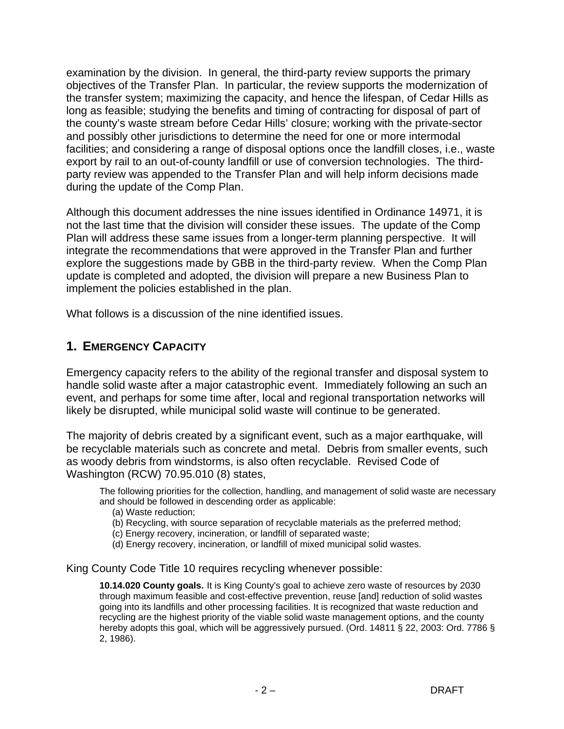examination by the division. In general, the third-party review supports the primary objectives of the Transfer Plan. In particular, the review supports the modernization of the transfer system; maximizing the capacity, and hence the lifespan, of Cedar Hills as long as feasible; studying the benefits and timing of contracting for disposal of part of the county's waste stream before Cedar Hills' closure; working with the private-sector and possibly other jurisdictions to determine the need for one or more intermodal facilities; and considering a range of disposal options once the landfill closes, i.e., waste export by rail to an out-of-county landfill or use of conversion technologies. The thirdparty review was appended to the Transfer Plan and will help inform decisions made during the update of the Comp Plan.

Although this document addresses the nine issues identified in Ordinance 14971, it is not the last time that the division will consider these issues. The update of the Comp Plan will address these same issues from a longer-term planning perspective. It will integrate the recommendations that were approved in the Transfer Plan and further explore the suggestions made by GBB in the third-party review. When the Comp Plan update is completed and adopted, the division will prepare a new Business Plan to implement the policies established in the plan.

What follows is a discussion of the nine identified issues.

#### **1. EMERGENCY CAPACITY**

Emergency capacity refers to the ability of the regional transfer and disposal system to handle solid waste after a major catastrophic event. Immediately following an such an event, and perhaps for some time after, local and regional transportation networks will likely be disrupted, while municipal solid waste will continue to be generated.

The majority of debris created by a significant event, such as a major earthquake, will be recyclable materials such as concrete and metal. Debris from smaller events, such as woody debris from windstorms, is also often recyclable. Revised Code of Washington (RCW) 70.95.010 (8) states,

The following priorities for the collection, handling, and management of solid waste are necessary and should be followed in descending order as applicable:

- (a) Waste reduction;
- (b) Recycling, with source separation of recyclable materials as the preferred method;
- (c) Energy recovery, incineration, or landfill of separated waste;
- (d) Energy recovery, incineration, or landfill of mixed municipal solid wastes.

King County Code Title 10 requires recycling whenever possible:

**10.14.020 County goals.** It is King County's goal to achieve zero waste of resources by 2030 through maximum feasible and cost-effective prevention, reuse [and] reduction of solid wastes going into its landfills and other processing facilities. It is recognized that waste reduction and recycling are the highest priority of the viable solid waste management options, and the county hereby adopts this goal, which will be aggressively pursued. (Ord. 14811 § 22, 2003: Ord. 7786 § 2, 1986).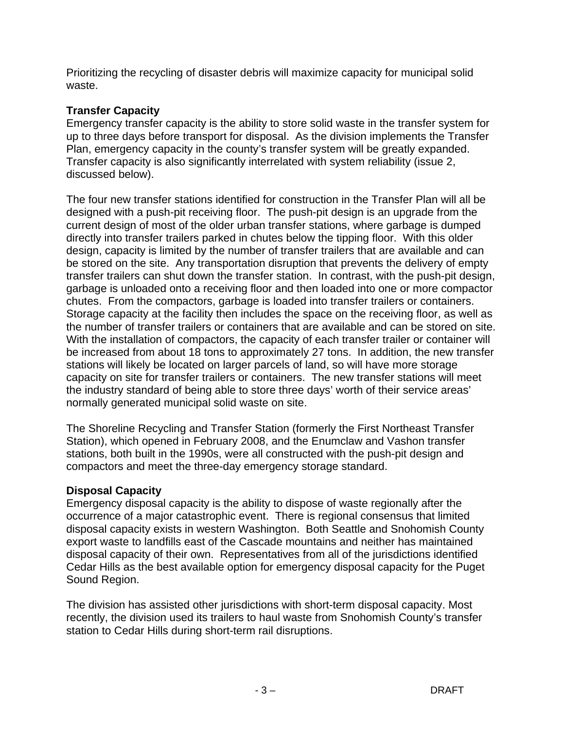Prioritizing the recycling of disaster debris will maximize capacity for municipal solid waste.

#### **Transfer Capacity**

Emergency transfer capacity is the ability to store solid waste in the transfer system for up to three days before transport for disposal. As the division implements the Transfer Plan, emergency capacity in the county's transfer system will be greatly expanded. Transfer capacity is also significantly interrelated with system reliability (issue 2, discussed below).

The four new transfer stations identified for construction in the Transfer Plan will all be designed with a push-pit receiving floor. The push-pit design is an upgrade from the current design of most of the older urban transfer stations, where garbage is dumped directly into transfer trailers parked in chutes below the tipping floor. With this older design, capacity is limited by the number of transfer trailers that are available and can be stored on the site. Any transportation disruption that prevents the delivery of empty transfer trailers can shut down the transfer station. In contrast, with the push-pit design, garbage is unloaded onto a receiving floor and then loaded into one or more compactor chutes. From the compactors, garbage is loaded into transfer trailers or containers. Storage capacity at the facility then includes the space on the receiving floor, as well as the number of transfer trailers or containers that are available and can be stored on site. With the installation of compactors, the capacity of each transfer trailer or container will be increased from about 18 tons to approximately 27 tons. In addition, the new transfer stations will likely be located on larger parcels of land, so will have more storage capacity on site for transfer trailers or containers. The new transfer stations will meet the industry standard of being able to store three days' worth of their service areas' normally generated municipal solid waste on site.

The Shoreline Recycling and Transfer Station (formerly the First Northeast Transfer Station), which opened in February 2008, and the Enumclaw and Vashon transfer stations, both built in the 1990s, were all constructed with the push-pit design and compactors and meet the three-day emergency storage standard.

#### **Disposal Capacity**

Emergency disposal capacity is the ability to dispose of waste regionally after the occurrence of a major catastrophic event. There is regional consensus that limited disposal capacity exists in western Washington. Both Seattle and Snohomish County export waste to landfills east of the Cascade mountains and neither has maintained disposal capacity of their own. Representatives from all of the jurisdictions identified Cedar Hills as the best available option for emergency disposal capacity for the Puget Sound Region.

The division has assisted other jurisdictions with short-term disposal capacity. Most recently, the division used its trailers to haul waste from Snohomish County's transfer station to Cedar Hills during short-term rail disruptions.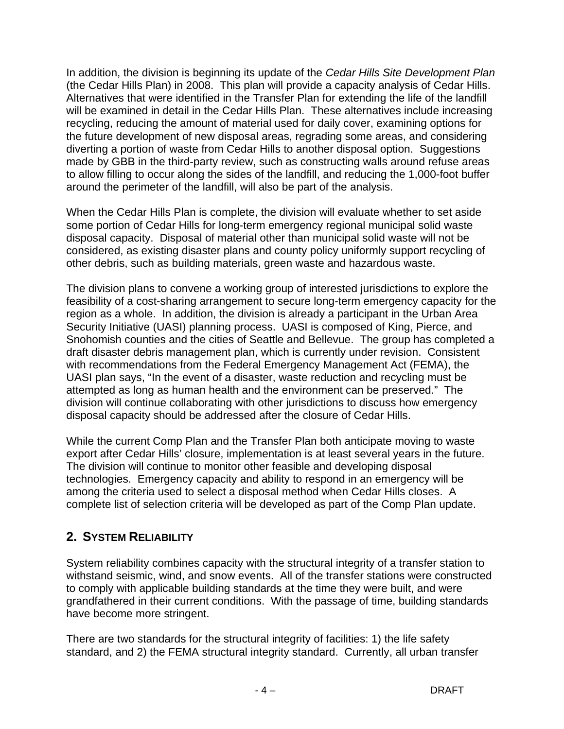In addition, the division is beginning its update of the *Cedar Hills Site Development Plan* (the Cedar Hills Plan) in 2008. This plan will provide a capacity analysis of Cedar Hills. Alternatives that were identified in the Transfer Plan for extending the life of the landfill will be examined in detail in the Cedar Hills Plan. These alternatives include increasing recycling, reducing the amount of material used for daily cover, examining options for the future development of new disposal areas, regrading some areas, and considering diverting a portion of waste from Cedar Hills to another disposal option. Suggestions made by GBB in the third-party review, such as constructing walls around refuse areas to allow filling to occur along the sides of the landfill, and reducing the 1,000-foot buffer around the perimeter of the landfill, will also be part of the analysis.

When the Cedar Hills Plan is complete, the division will evaluate whether to set aside some portion of Cedar Hills for long-term emergency regional municipal solid waste disposal capacity. Disposal of material other than municipal solid waste will not be considered, as existing disaster plans and county policy uniformly support recycling of other debris, such as building materials, green waste and hazardous waste.

The division plans to convene a working group of interested jurisdictions to explore the feasibility of a cost-sharing arrangement to secure long-term emergency capacity for the region as a whole. In addition, the division is already a participant in the Urban Area Security Initiative (UASI) planning process. UASI is composed of King, Pierce, and Snohomish counties and the cities of Seattle and Bellevue. The group has completed a draft disaster debris management plan, which is currently under revision. Consistent with recommendations from the Federal Emergency Management Act (FEMA), the UASI plan says, "In the event of a disaster, waste reduction and recycling must be attempted as long as human health and the environment can be preserved." The division will continue collaborating with other jurisdictions to discuss how emergency disposal capacity should be addressed after the closure of Cedar Hills.

While the current Comp Plan and the Transfer Plan both anticipate moving to waste export after Cedar Hills' closure, implementation is at least several years in the future. The division will continue to monitor other feasible and developing disposal technologies. Emergency capacity and ability to respond in an emergency will be among the criteria used to select a disposal method when Cedar Hills closes. A complete list of selection criteria will be developed as part of the Comp Plan update.

## **2. SYSTEM RELIABILITY**

System reliability combines capacity with the structural integrity of a transfer station to withstand seismic, wind, and snow events. All of the transfer stations were constructed to comply with applicable building standards at the time they were built, and were grandfathered in their current conditions. With the passage of time, building standards have become more stringent.

There are two standards for the structural integrity of facilities: 1) the life safety standard, and 2) the FEMA structural integrity standard. Currently, all urban transfer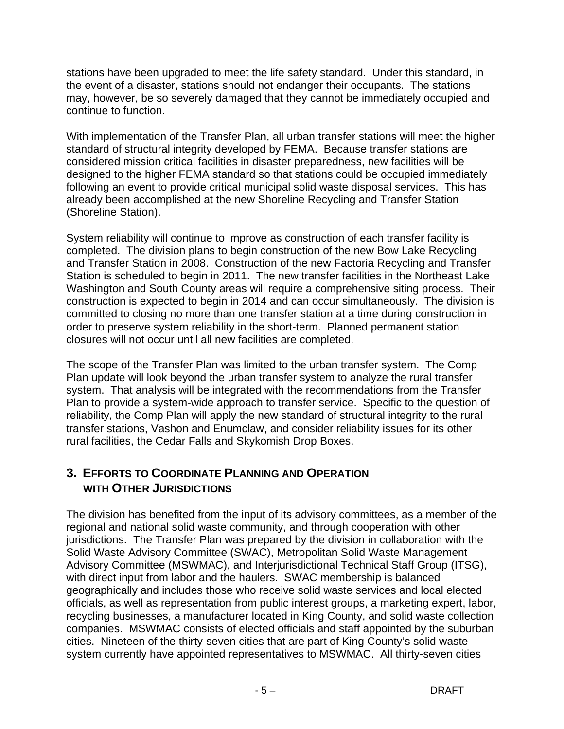stations have been upgraded to meet the life safety standard. Under this standard, in the event of a disaster, stations should not endanger their occupants. The stations may, however, be so severely damaged that they cannot be immediately occupied and continue to function.

With implementation of the Transfer Plan, all urban transfer stations will meet the higher standard of structural integrity developed by FEMA. Because transfer stations are considered mission critical facilities in disaster preparedness, new facilities will be designed to the higher FEMA standard so that stations could be occupied immediately following an event to provide critical municipal solid waste disposal services. This has already been accomplished at the new Shoreline Recycling and Transfer Station (Shoreline Station).

System reliability will continue to improve as construction of each transfer facility is completed. The division plans to begin construction of the new Bow Lake Recycling and Transfer Station in 2008. Construction of the new Factoria Recycling and Transfer Station is scheduled to begin in 2011. The new transfer facilities in the Northeast Lake Washington and South County areas will require a comprehensive siting process. Their construction is expected to begin in 2014 and can occur simultaneously. The division is committed to closing no more than one transfer station at a time during construction in order to preserve system reliability in the short-term. Planned permanent station closures will not occur until all new facilities are completed.

The scope of the Transfer Plan was limited to the urban transfer system. The Comp Plan update will look beyond the urban transfer system to analyze the rural transfer system. That analysis will be integrated with the recommendations from the Transfer Plan to provide a system-wide approach to transfer service. Specific to the question of reliability, the Comp Plan will apply the new standard of structural integrity to the rural transfer stations, Vashon and Enumclaw, and consider reliability issues for its other rural facilities, the Cedar Falls and Skykomish Drop Boxes.

#### **3. EFFORTS TO COORDINATE PLANNING AND OPERATION WITH OTHER JURISDICTIONS**

The division has benefited from the input of its advisory committees, as a member of the regional and national solid waste community, and through cooperation with other jurisdictions. The Transfer Plan was prepared by the division in collaboration with the Solid Waste Advisory Committee (SWAC), Metropolitan Solid Waste Management Advisory Committee (MSWMAC), and Interjurisdictional Technical Staff Group (ITSG), with direct input from labor and the haulers. SWAC membership is balanced geographically and includes those who receive solid waste services and local elected officials, as well as representation from public interest groups, a marketing expert, labor, recycling businesses, a manufacturer located in King County, and solid waste collection companies. MSWMAC consists of elected officials and staff appointed by the suburban cities. Nineteen of the thirty-seven cities that are part of King County's solid waste system currently have appointed representatives to MSWMAC. All thirty-seven cities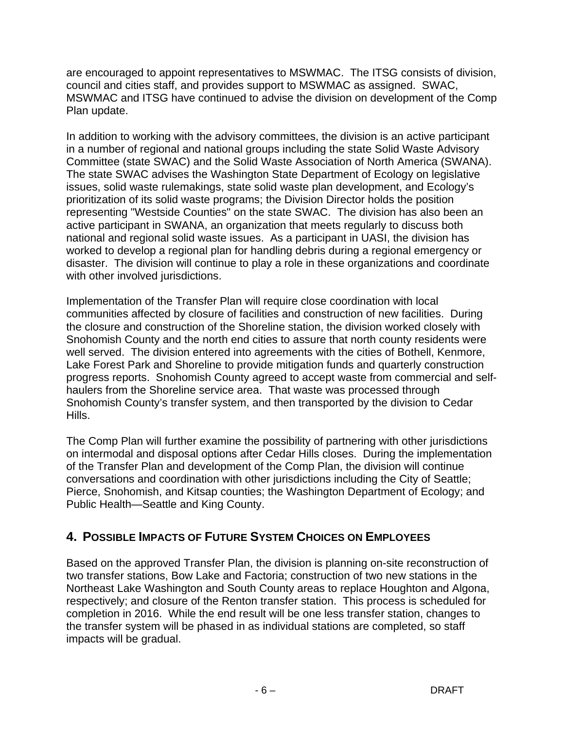are encouraged to appoint representatives to MSWMAC. The ITSG consists of division, council and cities staff, and provides support to MSWMAC as assigned. SWAC, MSWMAC and ITSG have continued to advise the division on development of the Comp Plan update.

In addition to working with the advisory committees, the division is an active participant in a number of regional and national groups including the state Solid Waste Advisory Committee (state SWAC) and the Solid Waste Association of North America (SWANA). The state SWAC advises the Washington State Department of Ecology on legislative issues, solid waste rulemakings, state solid waste plan development, and Ecology's prioritization of its solid waste programs; the Division Director holds the position representing "Westside Counties" on the state SWAC. The division has also been an active participant in SWANA, an organization that meets regularly to discuss both national and regional solid waste issues. As a participant in UASI, the division has worked to develop a regional plan for handling debris during a regional emergency or disaster. The division will continue to play a role in these organizations and coordinate with other involved jurisdictions.

Implementation of the Transfer Plan will require close coordination with local communities affected by closure of facilities and construction of new facilities. During the closure and construction of the Shoreline station, the division worked closely with Snohomish County and the north end cities to assure that north county residents were well served. The division entered into agreements with the cities of Bothell, Kenmore, Lake Forest Park and Shoreline to provide mitigation funds and quarterly construction progress reports. Snohomish County agreed to accept waste from commercial and selfhaulers from the Shoreline service area. That waste was processed through Snohomish County's transfer system, and then transported by the division to Cedar Hills.

The Comp Plan will further examine the possibility of partnering with other jurisdictions on intermodal and disposal options after Cedar Hills closes. During the implementation of the Transfer Plan and development of the Comp Plan, the division will continue conversations and coordination with other jurisdictions including the City of Seattle; Pierce, Snohomish, and Kitsap counties; the Washington Department of Ecology; and Public Health—Seattle and King County.

## **4. POSSIBLE IMPACTS OF FUTURE SYSTEM CHOICES ON EMPLOYEES**

Based on the approved Transfer Plan, the division is planning on-site reconstruction of two transfer stations, Bow Lake and Factoria; construction of two new stations in the Northeast Lake Washington and South County areas to replace Houghton and Algona, respectively; and closure of the Renton transfer station. This process is scheduled for completion in 2016. While the end result will be one less transfer station, changes to the transfer system will be phased in as individual stations are completed, so staff impacts will be gradual.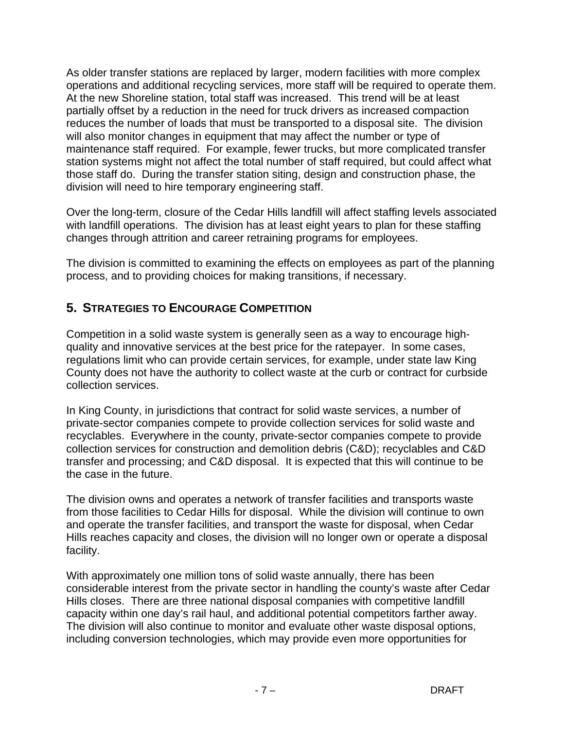As older transfer stations are replaced by larger, modern facilities with more complex operations and additional recycling services, more staff will be required to operate them. At the new Shoreline station, total staff was increased. This trend will be at least partially offset by a reduction in the need for truck drivers as increased compaction reduces the number of loads that must be transported to a disposal site. The division will also monitor changes in equipment that may affect the number or type of maintenance staff required. For example, fewer trucks, but more complicated transfer station systems might not affect the total number of staff required, but could affect what those staff do. During the transfer station siting, design and construction phase, the division will need to hire temporary engineering staff.

Over the long-term, closure of the Cedar Hills landfill will affect staffing levels associated with landfill operations. The division has at least eight years to plan for these staffing changes through attrition and career retraining programs for employees.

The division is committed to examining the effects on employees as part of the planning process, and to providing choices for making transitions, if necessary.

## **5. STRATEGIES TO ENCOURAGE COMPETITION**

Competition in a solid waste system is generally seen as a way to encourage highquality and innovative services at the best price for the ratepayer. In some cases, regulations limit who can provide certain services, for example, under state law King County does not have the authority to collect waste at the curb or contract for curbside collection services.

In King County, in jurisdictions that contract for solid waste services, a number of private-sector companies compete to provide collection services for solid waste and recyclables. Everywhere in the county, private-sector companies compete to provide collection services for construction and demolition debris (C&D); recyclables and C&D transfer and processing; and C&D disposal. It is expected that this will continue to be the case in the future.

The division owns and operates a network of transfer facilities and transports waste from those facilities to Cedar Hills for disposal. While the division will continue to own and operate the transfer facilities, and transport the waste for disposal, when Cedar Hills reaches capacity and closes, the division will no longer own or operate a disposal facility.

With approximately one million tons of solid waste annually, there has been considerable interest from the private sector in handling the county's waste after Cedar Hills closes. There are three national disposal companies with competitive landfill capacity within one day's rail haul, and additional potential competitors farther away. The division will also continue to monitor and evaluate other waste disposal options, including conversion technologies, which may provide even more opportunities for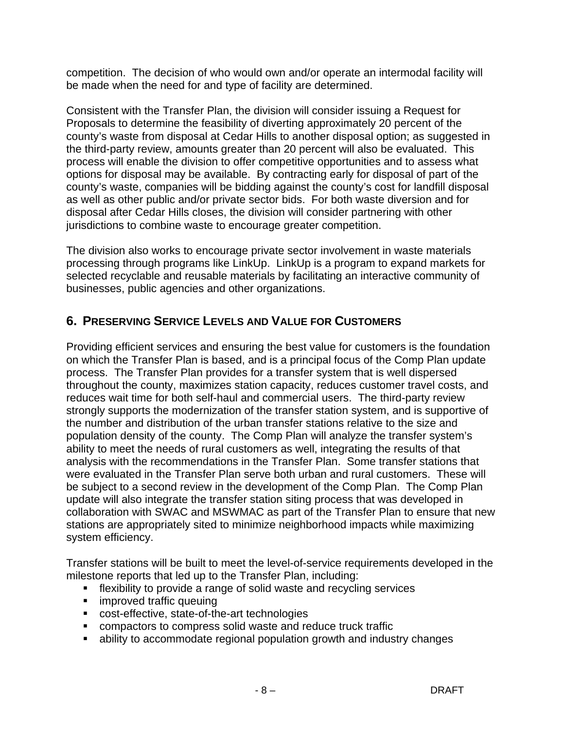competition. The decision of who would own and/or operate an intermodal facility will be made when the need for and type of facility are determined.

Consistent with the Transfer Plan, the division will consider issuing a Request for Proposals to determine the feasibility of diverting approximately 20 percent of the county's waste from disposal at Cedar Hills to another disposal option; as suggested in the third-party review, amounts greater than 20 percent will also be evaluated. This process will enable the division to offer competitive opportunities and to assess what options for disposal may be available. By contracting early for disposal of part of the county's waste, companies will be bidding against the county's cost for landfill disposal as well as other public and/or private sector bids. For both waste diversion and for disposal after Cedar Hills closes, the division will consider partnering with other jurisdictions to combine waste to encourage greater competition.

The division also works to encourage private sector involvement in waste materials processing through programs like LinkUp. LinkUp is a program to expand markets for selected recyclable and reusable materials by facilitating an interactive community of businesses, public agencies and other organizations.

## **6. PRESERVING SERVICE LEVELS AND VALUE FOR CUSTOMERS**

Providing efficient services and ensuring the best value for customers is the foundation on which the Transfer Plan is based, and is a principal focus of the Comp Plan update process. The Transfer Plan provides for a transfer system that is well dispersed throughout the county, maximizes station capacity, reduces customer travel costs, and reduces wait time for both self-haul and commercial users. The third-party review strongly supports the modernization of the transfer station system, and is supportive of the number and distribution of the urban transfer stations relative to the size and population density of the county. The Comp Plan will analyze the transfer system's ability to meet the needs of rural customers as well, integrating the results of that analysis with the recommendations in the Transfer Plan. Some transfer stations that were evaluated in the Transfer Plan serve both urban and rural customers. These will be subject to a second review in the development of the Comp Plan. The Comp Plan update will also integrate the transfer station siting process that was developed in collaboration with SWAC and MSWMAC as part of the Transfer Plan to ensure that new stations are appropriately sited to minimize neighborhood impacts while maximizing system efficiency.

Transfer stations will be built to meet the level-of-service requirements developed in the milestone reports that led up to the Transfer Plan, including:

- flexibility to provide a range of solid waste and recycling services
- **EXECUTE:** improved traffic queuing
- cost-effective, state-of-the-art technologies
- compactors to compress solid waste and reduce truck traffic
- ability to accommodate regional population growth and industry changes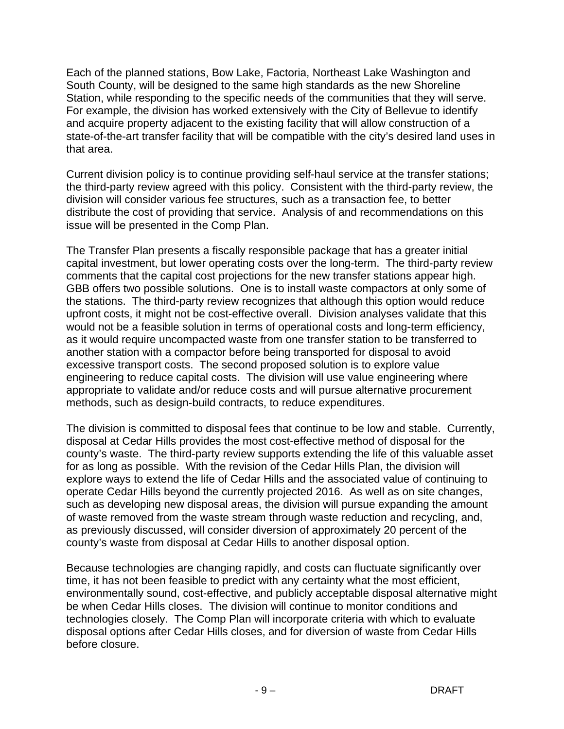Each of the planned stations, Bow Lake, Factoria, Northeast Lake Washington and South County, will be designed to the same high standards as the new Shoreline Station, while responding to the specific needs of the communities that they will serve. For example, the division has worked extensively with the City of Bellevue to identify and acquire property adjacent to the existing facility that will allow construction of a state-of-the-art transfer facility that will be compatible with the city's desired land uses in that area.

Current division policy is to continue providing self-haul service at the transfer stations; the third-party review agreed with this policy. Consistent with the third-party review, the division will consider various fee structures, such as a transaction fee, to better distribute the cost of providing that service. Analysis of and recommendations on this issue will be presented in the Comp Plan.

The Transfer Plan presents a fiscally responsible package that has a greater initial capital investment, but lower operating costs over the long-term. The third-party review comments that the capital cost projections for the new transfer stations appear high. GBB offers two possible solutions. One is to install waste compactors at only some of the stations. The third-party review recognizes that although this option would reduce upfront costs, it might not be cost-effective overall. Division analyses validate that this would not be a feasible solution in terms of operational costs and long-term efficiency, as it would require uncompacted waste from one transfer station to be transferred to another station with a compactor before being transported for disposal to avoid excessive transport costs. The second proposed solution is to explore value engineering to reduce capital costs. The division will use value engineering where appropriate to validate and/or reduce costs and will pursue alternative procurement methods, such as design-build contracts, to reduce expenditures.

The division is committed to disposal fees that continue to be low and stable. Currently, disposal at Cedar Hills provides the most cost-effective method of disposal for the county's waste. The third-party review supports extending the life of this valuable asset for as long as possible. With the revision of the Cedar Hills Plan, the division will explore ways to extend the life of Cedar Hills and the associated value of continuing to operate Cedar Hills beyond the currently projected 2016. As well as on site changes, such as developing new disposal areas, the division will pursue expanding the amount of waste removed from the waste stream through waste reduction and recycling, and, as previously discussed, will consider diversion of approximately 20 percent of the county's waste from disposal at Cedar Hills to another disposal option.

Because technologies are changing rapidly, and costs can fluctuate significantly over time, it has not been feasible to predict with any certainty what the most efficient, environmentally sound, cost-effective, and publicly acceptable disposal alternative might be when Cedar Hills closes. The division will continue to monitor conditions and technologies closely. The Comp Plan will incorporate criteria with which to evaluate disposal options after Cedar Hills closes, and for diversion of waste from Cedar Hills before closure.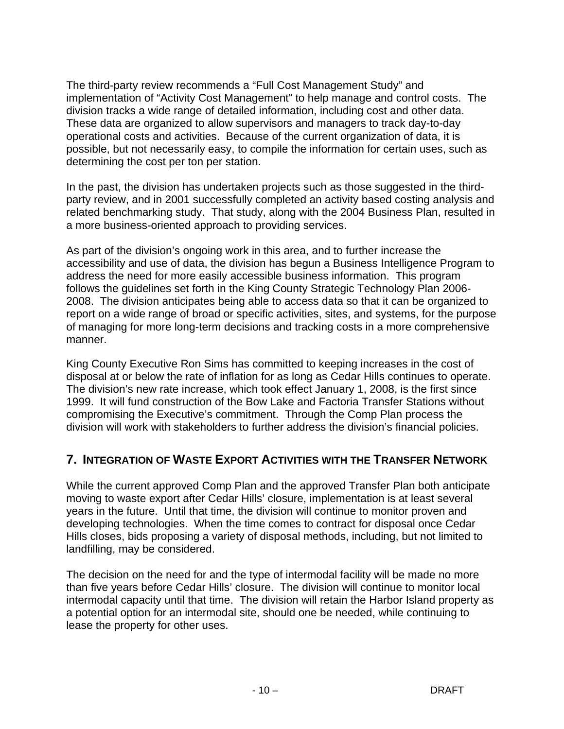The third-party review recommends a "Full Cost Management Study" and implementation of "Activity Cost Management" to help manage and control costs. The division tracks a wide range of detailed information, including cost and other data. These data are organized to allow supervisors and managers to track day-to-day operational costs and activities. Because of the current organization of data, it is possible, but not necessarily easy, to compile the information for certain uses, such as determining the cost per ton per station.

In the past, the division has undertaken projects such as those suggested in the thirdparty review, and in 2001 successfully completed an activity based costing analysis and related benchmarking study. That study, along with the 2004 Business Plan, resulted in a more business-oriented approach to providing services.

As part of the division's ongoing work in this area, and to further increase the accessibility and use of data, the division has begun a Business Intelligence Program to address the need for more easily accessible business information. This program follows the guidelines set forth in the King County Strategic Technology Plan 2006- 2008. The division anticipates being able to access data so that it can be organized to report on a wide range of broad or specific activities, sites, and systems, for the purpose of managing for more long-term decisions and tracking costs in a more comprehensive manner.

King County Executive Ron Sims has committed to keeping increases in the cost of disposal at or below the rate of inflation for as long as Cedar Hills continues to operate. The division's new rate increase, which took effect January 1, 2008, is the first since 1999. It will fund construction of the Bow Lake and Factoria Transfer Stations without compromising the Executive's commitment. Through the Comp Plan process the division will work with stakeholders to further address the division's financial policies.

## **7. INTEGRATION OF WASTE EXPORT ACTIVITIES WITH THE TRANSFER NETWORK**

While the current approved Comp Plan and the approved Transfer Plan both anticipate moving to waste export after Cedar Hills' closure, implementation is at least several years in the future. Until that time, the division will continue to monitor proven and developing technologies. When the time comes to contract for disposal once Cedar Hills closes, bids proposing a variety of disposal methods, including, but not limited to landfilling, may be considered.

The decision on the need for and the type of intermodal facility will be made no more than five years before Cedar Hills' closure. The division will continue to monitor local intermodal capacity until that time. The division will retain the Harbor Island property as a potential option for an intermodal site, should one be needed, while continuing to lease the property for other uses.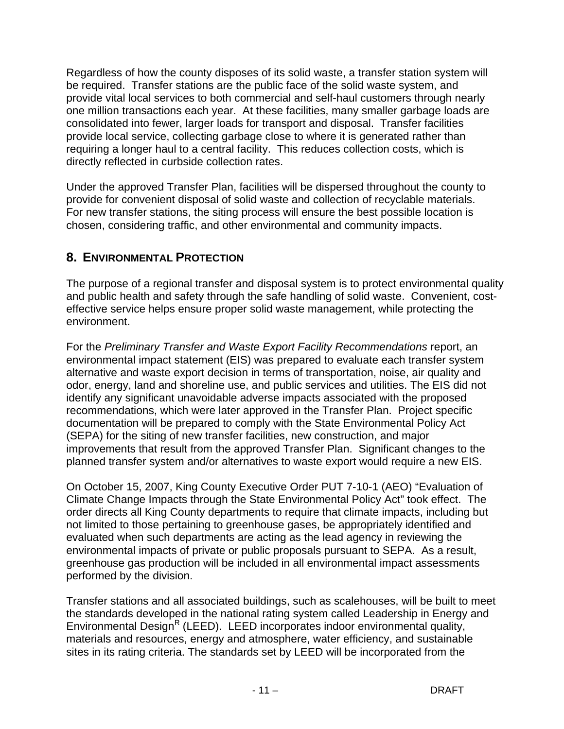Regardless of how the county disposes of its solid waste, a transfer station system will be required. Transfer stations are the public face of the solid waste system, and provide vital local services to both commercial and self-haul customers through nearly one million transactions each year. At these facilities, many smaller garbage loads are consolidated into fewer, larger loads for transport and disposal. Transfer facilities provide local service, collecting garbage close to where it is generated rather than requiring a longer haul to a central facility. This reduces collection costs, which is directly reflected in curbside collection rates.

Under the approved Transfer Plan, facilities will be dispersed throughout the county to provide for convenient disposal of solid waste and collection of recyclable materials. For new transfer stations, the siting process will ensure the best possible location is chosen, considering traffic, and other environmental and community impacts.

## **8. ENVIRONMENTAL PROTECTION**

The purpose of a regional transfer and disposal system is to protect environmental quality and public health and safety through the safe handling of solid waste. Convenient, costeffective service helps ensure proper solid waste management, while protecting the environment.

For the *Preliminary Transfer and Waste Export Facility Recommendations* report, an environmental impact statement (EIS) was prepared to evaluate each transfer system alternative and waste export decision in terms of transportation, noise, air quality and odor, energy, land and shoreline use, and public services and utilities. The EIS did not identify any significant unavoidable adverse impacts associated with the proposed recommendations, which were later approved in the Transfer Plan. Project specific documentation will be prepared to comply with the State Environmental Policy Act (SEPA) for the siting of new transfer facilities, new construction, and major improvements that result from the approved Transfer Plan. Significant changes to the planned transfer system and/or alternatives to waste export would require a new EIS.

On October 15, 2007, King County Executive Order PUT 7-10-1 (AEO) "Evaluation of Climate Change Impacts through the State Environmental Policy Act" took effect. The order directs all King County departments to require that climate impacts, including but not limited to those pertaining to greenhouse gases, be appropriately identified and evaluated when such departments are acting as the lead agency in reviewing the environmental impacts of private or public proposals pursuant to SEPA. As a result, greenhouse gas production will be included in all environmental impact assessments performed by the division.

Transfer stations and all associated buildings, such as scalehouses, will be built to meet the standards developed in the national rating system called Leadership in Energy and Environmental Design<sup>R</sup> (LEED). LEED incorporates indoor environmental quality, materials and resources, energy and atmosphere, water efficiency, and sustainable sites in its rating criteria. The standards set by LEED will be incorporated from the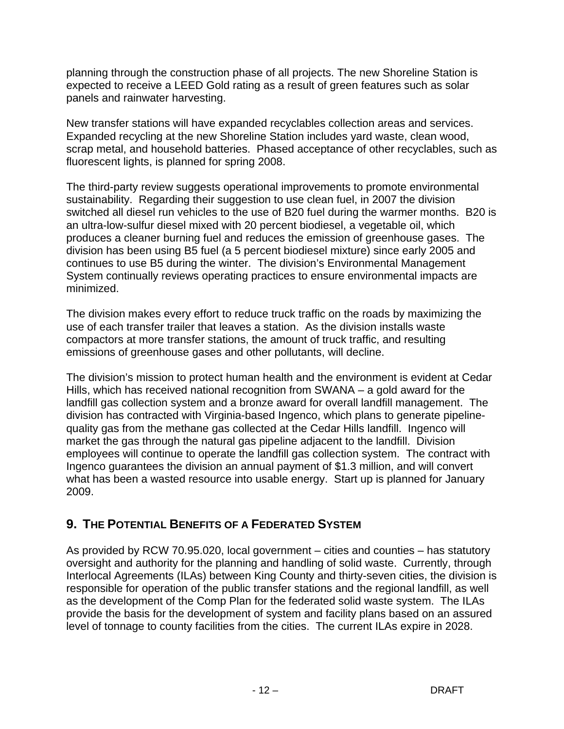planning through the construction phase of all projects. The new Shoreline Station is expected to receive a LEED Gold rating as a result of green features such as solar panels and rainwater harvesting.

New transfer stations will have expanded recyclables collection areas and services. Expanded recycling at the new Shoreline Station includes yard waste, clean wood, scrap metal, and household batteries. Phased acceptance of other recyclables, such as fluorescent lights, is planned for spring 2008.

The third-party review suggests operational improvements to promote environmental sustainability. Regarding their suggestion to use clean fuel, in 2007 the division switched all diesel run vehicles to the use of B20 fuel during the warmer months. B20 is an ultra-low-sulfur diesel mixed with 20 percent biodiesel, a vegetable oil, which produces a cleaner burning fuel and reduces the emission of greenhouse gases. The division has been using B5 fuel (a 5 percent biodiesel mixture) since early 2005 and continues to use B5 during the winter. The division's Environmental Management System continually reviews operating practices to ensure environmental impacts are minimized.

The division makes every effort to reduce truck traffic on the roads by maximizing the use of each transfer trailer that leaves a station. As the division installs waste compactors at more transfer stations, the amount of truck traffic, and resulting emissions of greenhouse gases and other pollutants, will decline.

The division's mission to protect human health and the environment is evident at Cedar Hills, which has received national recognition from SWANA – a gold award for the landfill gas collection system and a bronze award for overall landfill management. The division has contracted with Virginia-based Ingenco, which plans to generate pipelinequality gas from the methane gas collected at the Cedar Hills landfill. Ingenco will market the gas through the natural gas pipeline adjacent to the landfill. Division employees will continue to operate the landfill gas collection system. The contract with Ingenco guarantees the division an annual payment of \$1.3 million, and will convert what has been a wasted resource into usable energy. Start up is planned for January 2009.

## **9. THE POTENTIAL BENEFITS OF A FEDERATED SYSTEM**

As provided by RCW 70.95.020, local government – cities and counties – has statutory oversight and authority for the planning and handling of solid waste. Currently, through Interlocal Agreements (ILAs) between King County and thirty-seven cities, the division is responsible for operation of the public transfer stations and the regional landfill, as well as the development of the Comp Plan for the federated solid waste system. The ILAs provide the basis for the development of system and facility plans based on an assured level of tonnage to county facilities from the cities. The current ILAs expire in 2028.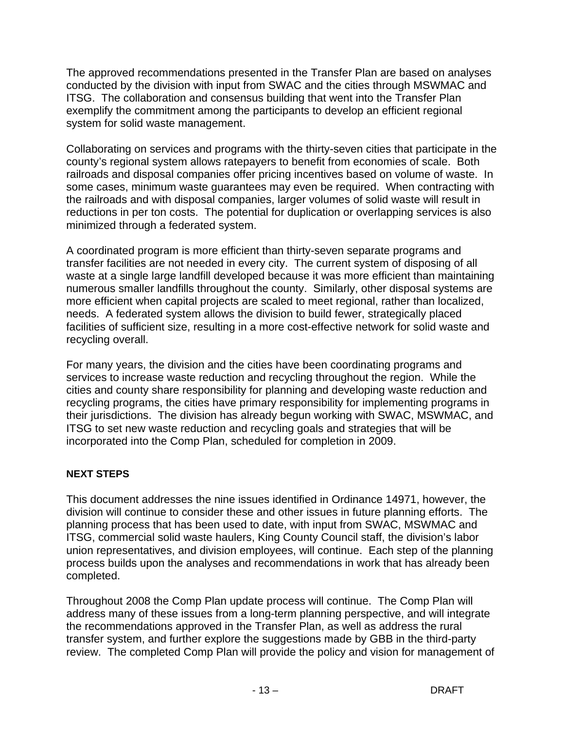The approved recommendations presented in the Transfer Plan are based on analyses conducted by the division with input from SWAC and the cities through MSWMAC and ITSG. The collaboration and consensus building that went into the Transfer Plan exemplify the commitment among the participants to develop an efficient regional system for solid waste management.

Collaborating on services and programs with the thirty-seven cities that participate in the county's regional system allows ratepayers to benefit from economies of scale. Both railroads and disposal companies offer pricing incentives based on volume of waste. In some cases, minimum waste guarantees may even be required. When contracting with the railroads and with disposal companies, larger volumes of solid waste will result in reductions in per ton costs. The potential for duplication or overlapping services is also minimized through a federated system.

A coordinated program is more efficient than thirty-seven separate programs and transfer facilities are not needed in every city. The current system of disposing of all waste at a single large landfill developed because it was more efficient than maintaining numerous smaller landfills throughout the county. Similarly, other disposal systems are more efficient when capital projects are scaled to meet regional, rather than localized, needs. A federated system allows the division to build fewer, strategically placed facilities of sufficient size, resulting in a more cost-effective network for solid waste and recycling overall.

For many years, the division and the cities have been coordinating programs and services to increase waste reduction and recycling throughout the region. While the cities and county share responsibility for planning and developing waste reduction and recycling programs, the cities have primary responsibility for implementing programs in their jurisdictions. The division has already begun working with SWAC, MSWMAC, and ITSG to set new waste reduction and recycling goals and strategies that will be incorporated into the Comp Plan, scheduled for completion in 2009.

#### **NEXT STEPS**

This document addresses the nine issues identified in Ordinance 14971, however, the division will continue to consider these and other issues in future planning efforts. The planning process that has been used to date, with input from SWAC, MSWMAC and ITSG, commercial solid waste haulers, King County Council staff, the division's labor union representatives, and division employees, will continue. Each step of the planning process builds upon the analyses and recommendations in work that has already been completed.

Throughout 2008 the Comp Plan update process will continue. The Comp Plan will address many of these issues from a long-term planning perspective, and will integrate the recommendations approved in the Transfer Plan, as well as address the rural transfer system, and further explore the suggestions made by GBB in the third-party review. The completed Comp Plan will provide the policy and vision for management of